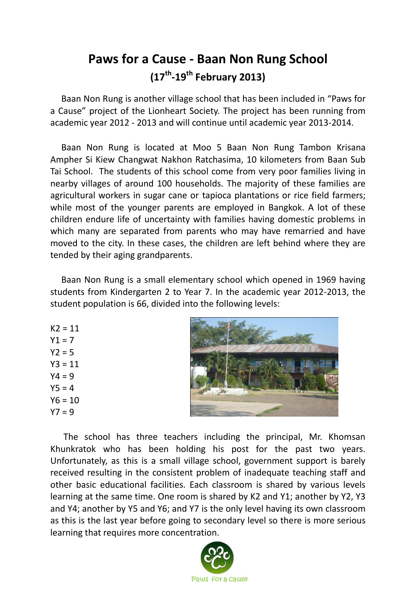## **Paws for a Cause - Baan Non Rung School (17th -19th February 2013)**

 Baan Non Rung is another village school that has been included in "Paws for a Cause" project of the Lionheart Society. The project has been running from academic year 2012 - 2013 and will continue until academic year 2013-2014.

 Baan Non Rung is located at Moo 5 Baan Non Rung Tambon Krisana Ampher Si Kiew Changwat Nakhon Ratchasima, 10 kilometers from Baan Sub Tai School. The students of this school come from very poor families living in nearby villages of around 100 households. The majority of these families are agricultural workers in sugar cane or tapioca plantations or rice field farmers; while most of the younger parents are employed in Bangkok. A lot of these children endure life of uncertainty with families having domestic problems in which many are separated from parents who may have remarried and have moved to the city. In these cases, the children are left behind where they are tended by their aging grandparents.

 Baan Non Rung is a small elementary school which opened in 1969 having students from Kindergarten 2 to Year 7. In the academic year 2012-2013, the student population is 66, divided into the following levels:

 $K2 = 11$  $Y1 = 7$  $Y2 = 5$  $Y3 = 11$  $Y4 = 9$  $Y5 = 4$  $Y6 = 10$  $Y7 = 9$ 



 The school has three teachers including the principal, Mr. Khomsan Khunkratok who has been holding his post for the past two years. Unfortunately, as this is a small village school, government support is barely received resulting in the consistent problem of inadequate teaching staff and other basic educational facilities. Each classroom is shared by various levels learning at the same time. One room is shared by K2 and Y1; another by Y2, Y3 and Y4; another by Y5 and Y6; and Y7 is the only level having its own classroom as this is the last year before going to secondary level so there is more serious learning that requires more concentration.

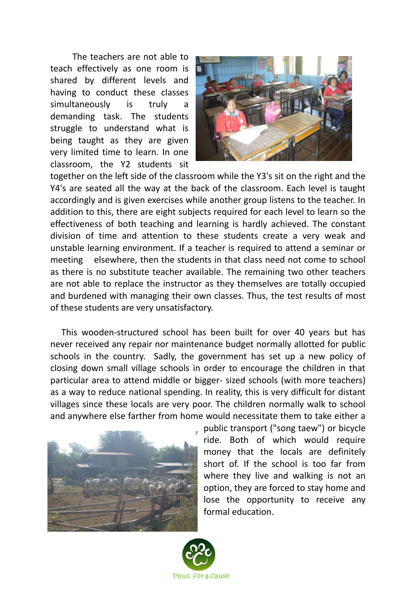The teachers are not able to teach effectively as one room is shared by different levels and having to conduct these classes simultaneously is truly a demanding task. The students struggle to understand what is being taught as they are given very limited time to learn. In one classroom, the Y2 students sit



together on the left side of the classroom while the Y3's sit on the right and the Y4's are seated all the way at the back of the classroom. Each level is taught accordingly and is given exercises while another group listens to the teacher. In addition to this, there are eight subjects required for each level to learn so the effectiveness of both teaching and learning is hardly achieved. The constant division of time and attention to these students create a very weak and unstable learning environment. If a teacher is required to attend a seminar or meeting elsewhere, then the students in that class need not come to school as there is no substitute teacher available. The remaining two other teachers are not able to replace the instructor as they themselves are totally occupied and burdened with managing their own classes. Thus, the test results of most of these students are very unsatisfactory.

 This wooden-structured school has been built for over 40 years but has never received any repair nor maintenance budget normally allotted for public schools in the country. Sadly, the government has set up a new policy of closing down small village schools in order to encourage the children in that particular area to attend middle or bigger- sized schools (with more teachers) as a way to reduce national spending. In reality, this is very difficult for distant villages since these locals are very poor. The children normally walk to school and anywhere else farther from home would necessitate them to take either a



public transport ("song taew") or bicycle ride. Both of which would require money that the locals are definitely short of. If the school is too far from where they live and walking is not an option, they are forced to stay home and lose the opportunity to receive any formal education.

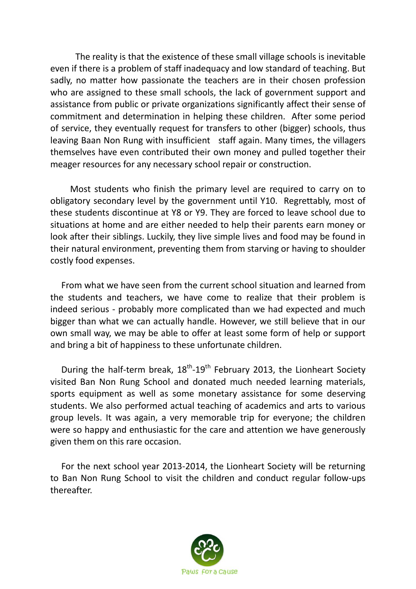The reality is that the existence of these small village schools is inevitable even if there is a problem of staff inadequacy and low standard of teaching. But sadly, no matter how passionate the teachers are in their chosen profession who are assigned to these small schools, the lack of government support and assistance from public or private organizations significantly affect their sense of commitment and determination in helping these children. After some period of service, they eventually request for transfers to other (bigger) schools, thus leaving Baan Non Rung with insufficient staff again. Many times, the villagers themselves have even contributed their own money and pulled together their meager resources for any necessary school repair or construction.

 Most students who finish the primary level are required to carry on to obligatory secondary level by the government until Y10. Regrettably, most of these students discontinue at Y8 or Y9. They are forced to leave school due to situations at home and are either needed to help their parents earn money or look after their siblings. Luckily, they live simple lives and food may be found in their natural environment, preventing them from starving or having to shoulder costly food expenses.

 From what we have seen from the current school situation and learned from the students and teachers, we have come to realize that their problem is indeed serious - probably more complicated than we had expected and much bigger than what we can actually handle. However, we still believe that in our own small way, we may be able to offer at least some form of help or support and bring a bit of happiness to these unfortunate children.

During the half-term break,  $18^{th}$ - $19^{th}$  February 2013, the Lionheart Society visited Ban Non Rung School and donated much needed learning materials, sports equipment as well as some monetary assistance for some deserving students. We also performed actual teaching of academics and arts to various group levels. It was again, a very memorable trip for everyone; the children were so happy and enthusiastic for the care and attention we have generously given them on this rare occasion.

 For the next school year 2013-2014, the Lionheart Society will be returning to Ban Non Rung School to visit the children and conduct regular follow-ups thereafter.

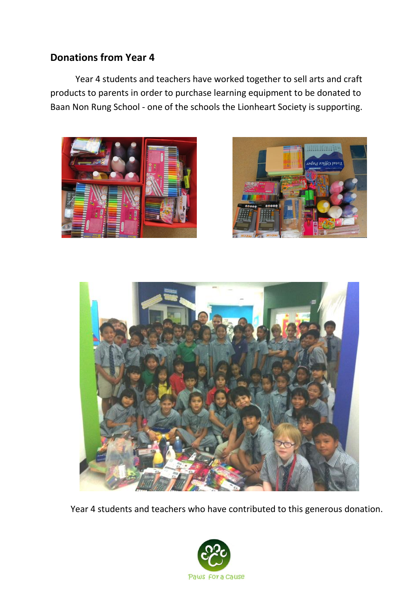## **Donations from Year 4**

Year 4 students and teachers have worked together to sell arts and craft products to parents in order to purchase learning equipment to be donated to Baan Non Rung School - one of the schools the Lionheart Society is supporting.







Year 4 students and teachers who have contributed to this generous donation.